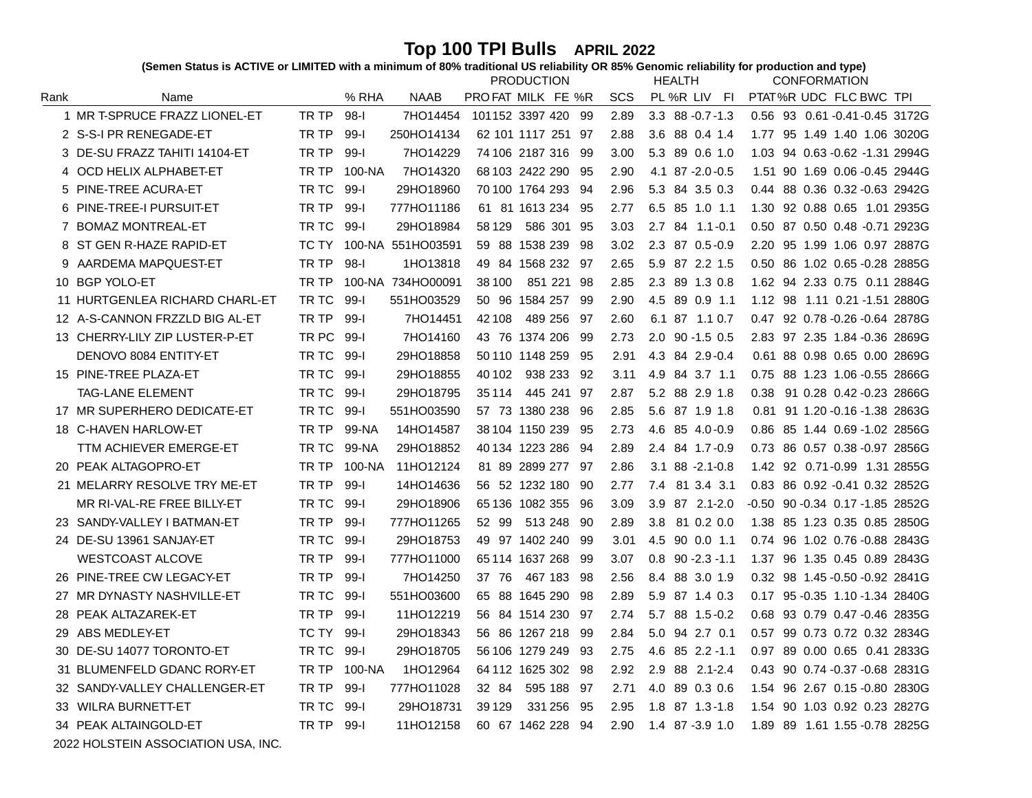Top 100 TPI Bulls APRIL 2022<br>(Semen Status is ACTIVE or LIMITED with a minimum of 80% traditional US reliability OR 85% Genomic reliability for production and type)

|      |                                |       |          |                   | <b>PRODUCTION</b>     |      |            | <b>HEALTH</b>          | <b>CONFORMATION</b>                 |
|------|--------------------------------|-------|----------|-------------------|-----------------------|------|------------|------------------------|-------------------------------------|
| Rank | Name                           |       | % RHA    | <b>NAAB</b>       | PROFAT MILK FE %R     |      | <b>SCS</b> | PL %R LIV FI           | PTAT%R UDC FLC BWC TPI              |
|      | 1 MR T-SPRUCE FRAZZ LIONEL-ET  | TR TP | $98-1$   | 7HO14454          | 101152 3397 420 99    |      | 2.89       | $3.3$ $88 - 0.7 - 1.3$ | 0.56 93 0.61 -0.41 -0.45 3172G      |
|      | 2 S-S-I PR RENEGADE-ET         | TR TP | $99 - 1$ | 250HO14134        | 62 101 1117 251 97    |      | 2.88       | 3.6 88 0.4 1.4         | 95 1.49 1.40 1.06 3020G<br>1.77     |
|      | 3 DE-SU FRAZZ TAHITI 14104-ET  | TR TP | $99 - 1$ | 7HO14229          | 74 106 2187 316       | -99  | 3.00       | 5.3 89 0.6 1.0         | 94 0.63 - 0.62 - 1.31 2994G<br>1.03 |
| 4    | OCD HELIX ALPHABET-ET          | TR TP | 100-NA   | 7HO14320          | 68 103 2422 290       | -95  | 2.90       | 4.1 87 -2.0 -0.5       | 1.51 90 1.69 0.06 -0.45 2944G       |
|      | 5 PINE-TREE ACURA-ET           | TR TC | 99-l     | 29HO18960         | 70 100 1764 293       | -94  | 2.96       | 5.3 84 3.5 0.3         | 88 0.36 0.32 - 0.63 2942G<br>0.44   |
|      | 6 PINE-TREE-I PURSUIT-ET       | TR TP | $99 - 1$ | 777HO11186        | 61 81 1613 234        | - 95 | 2.77       | 6.5 85 1.0 1.1         | 1.30 92 0.88 0.65 1.01 2935G        |
|      | 7 BOMAZ MONTREAL-ET            | TR TC | 99-l     | 29HO18984         | 58 1 29<br>586 301 95 |      | 3.03       | 2.7 84 1.1 - 0.1       | 0.50 87 0.50 0.48 -0.71 2923G       |
| 8    | ST GEN R-HAZE RAPID-ET         | TC TY |          | 100-NA 551HO03591 | 59 88 1538 239        | -98  | 3.02       | 2.3 87 0.5-0.9         | 95 1.99 1.06 0.97 2887G<br>2.20     |
| 9    | AARDEMA MAPQUEST-ET            | TR TP | $98-1$   | 1HO13818          | 49 84 1568 232 97     |      | 2.65       | 5.9 87 2.2 1.5         | 0.50 86 1.02 0.65 -0.28 2885G       |
|      | 10 BGP YOLO-ET                 | TR TP |          | 100-NA 734HO00091 | 38 100<br>851 221 98  |      | 2.85       | 2.3 89 1.3 0.8         | 1.62 94 2.33 0.75 0.11 2884G        |
|      | 11 HURTGENLEA RICHARD CHARL-ET | TR TC | $99 - 1$ | 551HO03529        | 50 96 1584 257        | -99  | 2.90       | 4.5 89 0.9 1.1         | 1.12 98 1.11 0.21 -1.51 2880G       |
|      | 12 A-S-CANNON FRZZLD BIG AL-ET | TR TP | 99-l     | 7HO14451          | 42 108<br>489 256     | -97  | 2.60       | 6.1 87 1.1 0.7         | 0.47 92 0.78 -0.26 -0.64 2878G      |
|      | 13 CHERRY-LILY ZIP LUSTER-P-ET | TR PC | -99-l    | 7HO14160          | 43 76 1374 206        | -99  | 2.73       | $2.0$ 90 -1.5 0.5      | 2.83 97 2.35 1.84 -0.36 2869G       |
|      | DENOVO 8084 ENTITY-ET          | TR TC | $99 - 1$ | 29HO18858         | 50 110 1148 259       | -95  | 2.91       | 4.3 84 2.9 - 0.4       | 0.61 88 0.98 0.65 0.00 2869G        |
|      | 15 PINE-TREE PLAZA-ET          | TR TC | $99 - 1$ | 29HO18855         | 938 233<br>40 102     | 92   | 3.11       | 4.9 84 3.7 1.1         | 88 1.23 1.06 -0.55 2866G<br>0.75    |
|      | <b>TAG-LANE ELEMENT</b>        | TR TC | $99 - 1$ | 29HO18795         | 35 1 14<br>445 241    | -97  | 2.87       | 5.2 88 2.9 1.8         | 91 0.28 0.42 -0.23 2866G<br>0.38    |
|      | 17 MR SUPERHERO DEDICATE-ET    | TR TC | 99-l     | 551HO03590        | 57 73 1380 238        | -96  | 2.85       | 5.6 87 1.9 1.8         | 0.81 91 1.20 - 0.16 - 1.38 2863G    |
|      | 18 C-HAVEN HARLOW-ET           | TR TP | 99-NA    | 14HO14587         | 38 104 1150 239       | -95  | 2.73       | 4.6 85 4.0 - 0.9       | 85 1.44 0.69 -1.02 2856G<br>0.86    |
|      | TTM ACHIEVER EMERGE-ET         | TR TC | 99-NA    | 29HO18852         | 40 134 1223 286       | 94   | 2.89       | 2.4 84 1.7-0.9         | 86 0.57 0.38 -0.97 2856G<br>0.73    |
|      | 20 PEAK ALTAGOPRO-ET           | TR TP | 100-NA   | 11HO12124         | 81 89 2899 277 97     |      | 2.86       | $3.1$ $88 - 2.1 - 0.8$ | 1.42 92 0.71-0.99 1.31 2855G        |
|      | 21 MELARRY RESOLVE TRY ME-ET   | TR TP | $99 - 1$ | 14HO14636         | 56 52 1232 180        | - 90 | 2.77       | 7.4 81 3.4 3.1         | 0.83 86 0.92 -0.41 0.32 2852G       |
|      | MR RI-VAL-RE FREE BILLY-ET     | TR TC | 99-l     | 29HO18906         | 65 136 1082 355       | - 96 | 3.09       | 3.9 87 2.1-2.0         | -0.50 90 -0.34 0.17 -1.85 2852G     |
|      | 23 SANDY-VALLEY I BATMAN-ET    | TR TP | 99-l     | 777HO11265        | 52 99<br>513 248      | - 90 | 2.89       | 3.8 81 0.2 0.0         | 85 1.23 0.35 0.85 2850G<br>1.38     |
| 24   | DE-SU 13961 SANJAY-ET          | TR TC | 99-l     | 29HO18753         | 1402 240<br>49 97     | -99  | 3.01       | 4.5 90 0.0 1.1         | 96 1.02 0.76 -0.88 2843G<br>0.74    |
|      | <b>WESTCOAST ALCOVE</b>        | TR TP | $99 - 1$ | 777HO11000        | 65 114 1637 268       | -99  | 3.07       | $0.8$ 90 - $2.3$ - 1.1 | 96 1.35 0.45 0.89 2843G<br>1.37     |
|      | 26 PINE-TREE CW LEGACY-ET      | TR TP | $99 - 1$ | 7HO14250          | 37 76<br>467 183      | 98   | 2.56       | 8.4 88 3.0 1.9         | 98 1.45 - 0.50 - 0.92 2841G<br>0.32 |
| 27   | MR DYNASTY NASHVILLE-ET        | TR TC | $99-1$   | 551HO03600        | 65 88 1645 290        | -98  | 2.89       | 5.9 87 1.4 0.3         | 0.17 95 -0.35 1.10 -1.34 2840G      |
| 28   | PEAK ALTAZAREK-ET              | TR TP | 99-l     | 11HO12219         | 56 84 1514 230        | -97  | 2.74       | 5.7 88 1.5-0.2         | 93 0.79 0.47 -0.46 2835G<br>0.68    |
| 29   | ABS MEDLEY-ET                  | TC TY | $99 - 1$ | 29HO18343         | 56 86 1267 218        | -99  | 2.84       | 5.0 94 2.7 0.1         | 99 0.73 0.72 0.32 2834G<br>0.57     |
| 30   | DE-SU 14077 TORONTO-ET         | TR TC | $99-1$   | 29HO18705         | 56 106 1279 249       | -93  | 2.75       | 4.6 85 2.2 -1.1        | 0.97 89 0.00 0.65 0.41 2833G        |
|      | 31 BLUMENFELD GDANC RORY-ET    | TR TP | 100-NA   | 1HO12964          | 64 112 1625 302       | -98  | 2.92       | 2.9 88 2.1-2.4         | 90 0.74 -0.37 -0.68 2831G<br>0.43   |
|      | 32 SANDY-VALLEY CHALLENGER-ET  | TR TP | $99 - 1$ | 777HO11028        | 32 84<br>595 188      | - 97 | 2.71       | 4.0 89 0.3 0.6         | 96 2.67 0.15 -0.80 2830G<br>1.54    |
|      | 33 WILRA BURNETT-ET            | TR TC | $99 - 1$ | 29HO18731         | 39 1 29<br>331 256    | -95  | 2.95       | 1.8 87 1.3-1.8         | 90 1.03 0.92 0.23 2827G<br>1.54     |
|      | 34 PEAK ALTAINGOLD-ET          | TR TP | - 99-l   | 11HO12158         | 60 67 1462 228        | -94  | 2.90       | 1.4 87 -3.9 1.0        | 89 1.61 1.55 -0.78 2825G<br>1.89    |

 $^\copyright$  2022 HOLSTEIN ASSOCIATION USA, INC.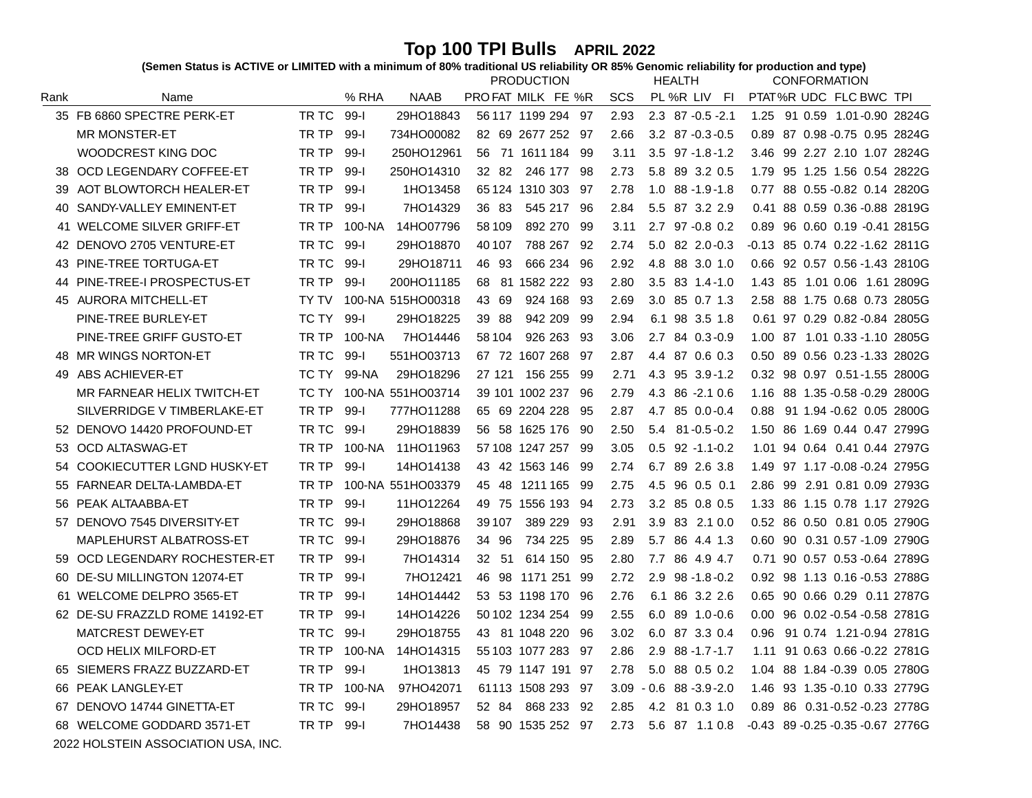Top 100 TPI Bulls APRIL 2022<br>(Semen Status is ACTIVE or LIMITED with a minimum of 80% traditional US reliability OR 85% Genomic reliability for production and type)

| % RHA<br>PTAT%R UDC FLC BWC TPI<br>Rank<br><b>NAAB</b><br>PROFAT MILK FE %R<br><b>SCS</b><br>PL %R LIV<br>Name<br>- FI<br>35 FB 6860 SPECTRE PERK-ET<br>TR TC<br>29HO18843<br>$99 - 1$<br>56 117 1199 294 97<br>2.93<br>$2.3$ 87 $-0.5$ $-2.1$<br>91 0.59 1.01-0.90 2824G<br>1.25<br><b>MR MONSTER-ET</b><br>TR TP<br>734HO00082<br>$99 - 1$<br>82 69 2677 252 97<br>$3.2$ 87 $-0.3 -0.5$<br>0.89 87 0.98 -0.75 0.95 2824G<br>2.66<br>WOODCREST KING DOC<br>TR TP<br>$99 - 1$<br>250HO12961<br>56 71 1611 184 99<br>$3.5$ $97 - 1.8 - 1.2$<br>99 2.27 2.10 1.07 2824G<br>3.11<br>3.46<br>OCD LEGENDARY COFFEE-ET<br>TR TP<br>250HO14310<br>$99 - 1$<br>32 82<br>246 177 98<br>2.73<br>5.8 89 3.2 0.5<br>95 1.25 1.56 0.54 2822G<br>38<br>1.79<br>AOT BLOWTORCH HEALER-ET<br>TR TP<br>$99 - 1$<br>1HO13458<br>2.78<br>$1.0$ 88 -1.9 -1.8<br>88 0.55 - 0.82 0.14 2820G<br>65 124 1310 303 97<br>0.77<br>39<br>TR TP<br>0.41 88 0.59 0.36 -0.88 2819G<br>SANDY-VALLEY EMINENT-ET<br>$99 - 1$<br>7HO14329<br>36 83<br>545 217 96<br>2.84<br>5.5 87 3.2 2.9<br>40<br>WELCOME SILVER GRIFF-ET<br>TR TP<br>892 270<br>100-NA<br>14HO07796<br>58 109<br>- 99<br>3.11<br>2.7 97 -0.8 0.2<br>96 0.60 0.19 -0.41 2815G<br>41<br>0.89<br>TR TC<br>DENOVO 2705 VENTURE-ET<br>$99 - 1$<br>29HO18870<br>40 107<br>788 267<br>5.0 82 2.0-0.3<br>-0.13 85 0.74 0.22 -1.62 2811G<br>-92<br>2.74<br>42.<br>PINE-TREE TORTUGA-ET<br>TR TC<br>$99 - 1$<br>0.66 92 0.57 0.56 -1.43 2810G<br>29HO18711<br>46 93<br>666 234<br>96<br>2.92<br>4.8 88 3.0 1.0<br>43<br>PINE-TREE-I PROSPECTUS-ET<br>TR TP<br>200HO11185<br>$99 - 1$<br>68 81 1582 222 93<br>2.80<br>$3.5$ 83 1.4 - 1.0<br>1.43 85 1.01 0.06 1.61 2809G<br>44<br>AURORA MITCHELL-ET<br>100-NA 515HO00318<br>43 69<br>924 168<br>- 93<br>3.0 85 0.7 1.3<br>2.58 88 1.75 0.68 0.73 2805G<br>TY TV<br>2.69<br>45<br>PINE-TREE BURLEY-ET<br>$99 - 1$<br>TC TY<br>29HO18225<br>39 88<br>942 209<br>-99<br>6.1 98 3.5 1.8<br>0.61 97 0.29 0.82 -0.84 2805G<br>2.94<br>PINE-TREE GRIFF GUSTO-ET<br>7HO14446<br>TR TP<br>100-NA<br>58 104<br>926 263<br>-93<br>2.7 84 0.3-0.9<br>1.00 87 1.01 0.33 -1.10 2805G<br>3.06<br>48 MR WINGS NORTON-ET<br>$99 - 1$<br>TR TC<br>551HO03713<br>67 72 1607 268<br>0.50 89 0.56 0.23 - 1.33 2802G<br>- 97<br>2.87<br>4.4 87 0.6 0.3<br>ABS ACHIEVER-ET<br>29HO18296<br>0.32 98 0.97 0.51-1.55 2800G<br>TC TY<br>99-NA<br>27 121<br>156 255 99<br>4.3 95 3.9-1.2<br>49<br>2.71<br>MR FARNEAR HELIX TWITCH-ET<br>100-NA 551HO03714<br>39 101 1002 237<br>4.3 86 -2.1 0.6<br>88 1.35 - 0.58 - 0.29 2800G<br>TC TY<br>-96<br>2.79<br>1.16<br>SILVERRIDGE V TIMBERLAKE-ET<br>TR TP<br>$99 - 1$<br>777HO11288<br>65 69 2204 228<br>2.87<br>4.7 85 0.0-0.4<br>91 1.94 - 0.62 0.05 2800G<br>-95<br>0.88<br>52 DENOVO 14420 PROFOUND-ET<br>TR TC<br>$99 - 1$<br>29HO18839<br>56 58 1625 176<br>-90<br>2.50<br>5.4<br>$81 - 0.5 - 0.2$<br>86 1.69 0.44 0.47 2799G<br>1.50<br><b>OCD ALTASWAG-ET</b><br>TR TP<br>100-NA<br>11HO11963<br>57 108 1247 257<br>$0.5$ 92 -1.1-0.2<br>1.01 94 0.64 0.41 0.44 2797G<br>-99<br>3.05<br>53<br>COOKIECUTTER LGND HUSKY-ET<br>TR TP<br>$99 - 1$<br>1.49 97 1.17 - 0.08 - 0.24 2795G<br>14HO14138<br>43 42 1563 146<br>-99<br>2.74<br>6.7<br>89 2.6 3.8<br>54<br>FARNEAR DELTA-LAMBDA-ET<br>TR TP<br>100-NA 551HO03379<br>2.86 99 2.91 0.81 0.09 2793G<br>45 48<br>1211 165 99<br>2.75<br>4.5 96 0.5 0.1<br>55<br>PEAK ALTAABBA-ET<br>TR TP<br>$99 - 1$<br>11HO12264<br>3.2 85 0.8 0.5<br>1.33 86 1.15 0.78 1.17 2792G<br>49 75<br>1556 193<br>- 94<br>2.73<br>56<br>57 DENOVO 7545 DIVERSITY-ET<br>$99 - 1$<br>0.52 86 0.50 0.81 0.05 2790G<br>TR TC<br>29HO18868<br>39 107<br>389 229<br>-93<br>3.9 83 2.1 0.0<br>2.91<br>MAPLEHURST ALBATROSS-ET<br>TR TC<br>29HO18876<br>0.60 90 0.31 0.57 -1.09 2790G<br>99-l<br>34 96<br>734 225<br>-95<br>2.89<br>5.7 86 4.4 1.3<br>OCD LEGENDARY ROCHESTER-ET<br>TR TP<br>$99 - 1$<br>7HO14314<br>32 51<br>614 150<br>-95<br>86 4.9 4.7<br>0.71 90 0.57 0.53 -0.64 2789G<br>59<br>2.80<br>7.7<br>DE-SU MILLINGTON 12074-ET<br>TR TP<br>7HO12421<br>46 98<br>0.92 98 1.13 0.16 -0.53 2788G<br>$99-1$<br>1171 251 99<br>2.72<br>$2.9$ $98 - 1.8 - 0.2$<br>60<br>61 WELCOME DELPRO 3565-ET<br>TR TP<br>14HO14442<br>53 53 1198 170<br>0.65 90 0.66 0.29 0.11 2787G<br>99-l<br>-96<br>2.76<br>6.1 86 3.2 2.6<br>62 DE-SU FRAZZLD ROME 14192-ET<br>TR TP<br>$99 - 1$<br>14HO14226<br>50 102 1234 254<br>-99<br>2.55<br>$6.0$ 89 1.0 - 0.6<br>96 0.02 -0.54 -0.58 2781G<br>0.00<br>MATCREST DEWEY-ET<br>TR TC<br>$99-1$<br>29HO18755<br>43 81 1048 220<br>91 0.74 1.21-0.94 2781G<br>-96<br>3.02<br>6.0 87 3.3 0.4<br>0.96<br><b>OCD HELIX MILFORD-ET</b><br>TR TP<br>100-NA<br>14HO14315<br>55 103 1077 283<br>$2.9$ 88 -1.7 -1.7<br>91 0.63 0.66 -0.22 2781G<br>- 97<br>2.86<br>1.11 | <b>CONFORMATION</b> | <b>HEALTH</b> |  | <b>PRODUCTION</b> |  |  |  |
|---------------------------------------------------------------------------------------------------------------------------------------------------------------------------------------------------------------------------------------------------------------------------------------------------------------------------------------------------------------------------------------------------------------------------------------------------------------------------------------------------------------------------------------------------------------------------------------------------------------------------------------------------------------------------------------------------------------------------------------------------------------------------------------------------------------------------------------------------------------------------------------------------------------------------------------------------------------------------------------------------------------------------------------------------------------------------------------------------------------------------------------------------------------------------------------------------------------------------------------------------------------------------------------------------------------------------------------------------------------------------------------------------------------------------------------------------------------------------------------------------------------------------------------------------------------------------------------------------------------------------------------------------------------------------------------------------------------------------------------------------------------------------------------------------------------------------------------------------------------------------------------------------------------------------------------------------------------------------------------------------------------------------------------------------------------------------------------------------------------------------------------------------------------------------------------------------------------------------------------------------------------------------------------------------------------------------------------------------------------------------------------------------------------------------------------------------------------------------------------------------------------------------------------------------------------------------------------------------------------------------------------------------------------------------------------------------------------------------------------------------------------------------------------------------------------------------------------------------------------------------------------------------------------------------------------------------------------------------------------------------------------------------------------------------------------------------------------------------------------------------------------------------------------------------------------------------------------------------------------------------------------------------------------------------------------------------------------------------------------------------------------------------------------------------------------------------------------------------------------------------------------------------------------------------------------------------------------------------------------------------------------------------------------------------------------------------------------------------------------------------------------------------------------------------------------------------------------------------------------------------------------------------------------------------------------------------------------------------------------------------------------------------------------------------------------------------------------------------------------------------------------------------------------------------------------------------------------------------------------------------------------------------------------------------------------------------------------------------------------------------------------------------------------------------------------------------------------------------------------------------------------------------------------------------------------------------------------------------------------------------------------------------------------------------------------------------------------------------------------------------------------------------------------------------------------------|---------------------|---------------|--|-------------------|--|--|--|
|                                                                                                                                                                                                                                                                                                                                                                                                                                                                                                                                                                                                                                                                                                                                                                                                                                                                                                                                                                                                                                                                                                                                                                                                                                                                                                                                                                                                                                                                                                                                                                                                                                                                                                                                                                                                                                                                                                                                                                                                                                                                                                                                                                                                                                                                                                                                                                                                                                                                                                                                                                                                                                                                                                                                                                                                                                                                                                                                                                                                                                                                                                                                                                                                                                                                                                                                                                                                                                                                                                                                                                                                                                                                                                                                                                                                                                                                                                                                                                                                                                                                                                                                                                                                                                                                                                                                                                                                                                                                                                                                                                                                                                                                                                                                                                                                                     |                     |               |  |                   |  |  |  |
|                                                                                                                                                                                                                                                                                                                                                                                                                                                                                                                                                                                                                                                                                                                                                                                                                                                                                                                                                                                                                                                                                                                                                                                                                                                                                                                                                                                                                                                                                                                                                                                                                                                                                                                                                                                                                                                                                                                                                                                                                                                                                                                                                                                                                                                                                                                                                                                                                                                                                                                                                                                                                                                                                                                                                                                                                                                                                                                                                                                                                                                                                                                                                                                                                                                                                                                                                                                                                                                                                                                                                                                                                                                                                                                                                                                                                                                                                                                                                                                                                                                                                                                                                                                                                                                                                                                                                                                                                                                                                                                                                                                                                                                                                                                                                                                                                     |                     |               |  |                   |  |  |  |
|                                                                                                                                                                                                                                                                                                                                                                                                                                                                                                                                                                                                                                                                                                                                                                                                                                                                                                                                                                                                                                                                                                                                                                                                                                                                                                                                                                                                                                                                                                                                                                                                                                                                                                                                                                                                                                                                                                                                                                                                                                                                                                                                                                                                                                                                                                                                                                                                                                                                                                                                                                                                                                                                                                                                                                                                                                                                                                                                                                                                                                                                                                                                                                                                                                                                                                                                                                                                                                                                                                                                                                                                                                                                                                                                                                                                                                                                                                                                                                                                                                                                                                                                                                                                                                                                                                                                                                                                                                                                                                                                                                                                                                                                                                                                                                                                                     |                     |               |  |                   |  |  |  |
|                                                                                                                                                                                                                                                                                                                                                                                                                                                                                                                                                                                                                                                                                                                                                                                                                                                                                                                                                                                                                                                                                                                                                                                                                                                                                                                                                                                                                                                                                                                                                                                                                                                                                                                                                                                                                                                                                                                                                                                                                                                                                                                                                                                                                                                                                                                                                                                                                                                                                                                                                                                                                                                                                                                                                                                                                                                                                                                                                                                                                                                                                                                                                                                                                                                                                                                                                                                                                                                                                                                                                                                                                                                                                                                                                                                                                                                                                                                                                                                                                                                                                                                                                                                                                                                                                                                                                                                                                                                                                                                                                                                                                                                                                                                                                                                                                     |                     |               |  |                   |  |  |  |
|                                                                                                                                                                                                                                                                                                                                                                                                                                                                                                                                                                                                                                                                                                                                                                                                                                                                                                                                                                                                                                                                                                                                                                                                                                                                                                                                                                                                                                                                                                                                                                                                                                                                                                                                                                                                                                                                                                                                                                                                                                                                                                                                                                                                                                                                                                                                                                                                                                                                                                                                                                                                                                                                                                                                                                                                                                                                                                                                                                                                                                                                                                                                                                                                                                                                                                                                                                                                                                                                                                                                                                                                                                                                                                                                                                                                                                                                                                                                                                                                                                                                                                                                                                                                                                                                                                                                                                                                                                                                                                                                                                                                                                                                                                                                                                                                                     |                     |               |  |                   |  |  |  |
|                                                                                                                                                                                                                                                                                                                                                                                                                                                                                                                                                                                                                                                                                                                                                                                                                                                                                                                                                                                                                                                                                                                                                                                                                                                                                                                                                                                                                                                                                                                                                                                                                                                                                                                                                                                                                                                                                                                                                                                                                                                                                                                                                                                                                                                                                                                                                                                                                                                                                                                                                                                                                                                                                                                                                                                                                                                                                                                                                                                                                                                                                                                                                                                                                                                                                                                                                                                                                                                                                                                                                                                                                                                                                                                                                                                                                                                                                                                                                                                                                                                                                                                                                                                                                                                                                                                                                                                                                                                                                                                                                                                                                                                                                                                                                                                                                     |                     |               |  |                   |  |  |  |
|                                                                                                                                                                                                                                                                                                                                                                                                                                                                                                                                                                                                                                                                                                                                                                                                                                                                                                                                                                                                                                                                                                                                                                                                                                                                                                                                                                                                                                                                                                                                                                                                                                                                                                                                                                                                                                                                                                                                                                                                                                                                                                                                                                                                                                                                                                                                                                                                                                                                                                                                                                                                                                                                                                                                                                                                                                                                                                                                                                                                                                                                                                                                                                                                                                                                                                                                                                                                                                                                                                                                                                                                                                                                                                                                                                                                                                                                                                                                                                                                                                                                                                                                                                                                                                                                                                                                                                                                                                                                                                                                                                                                                                                                                                                                                                                                                     |                     |               |  |                   |  |  |  |
|                                                                                                                                                                                                                                                                                                                                                                                                                                                                                                                                                                                                                                                                                                                                                                                                                                                                                                                                                                                                                                                                                                                                                                                                                                                                                                                                                                                                                                                                                                                                                                                                                                                                                                                                                                                                                                                                                                                                                                                                                                                                                                                                                                                                                                                                                                                                                                                                                                                                                                                                                                                                                                                                                                                                                                                                                                                                                                                                                                                                                                                                                                                                                                                                                                                                                                                                                                                                                                                                                                                                                                                                                                                                                                                                                                                                                                                                                                                                                                                                                                                                                                                                                                                                                                                                                                                                                                                                                                                                                                                                                                                                                                                                                                                                                                                                                     |                     |               |  |                   |  |  |  |
|                                                                                                                                                                                                                                                                                                                                                                                                                                                                                                                                                                                                                                                                                                                                                                                                                                                                                                                                                                                                                                                                                                                                                                                                                                                                                                                                                                                                                                                                                                                                                                                                                                                                                                                                                                                                                                                                                                                                                                                                                                                                                                                                                                                                                                                                                                                                                                                                                                                                                                                                                                                                                                                                                                                                                                                                                                                                                                                                                                                                                                                                                                                                                                                                                                                                                                                                                                                                                                                                                                                                                                                                                                                                                                                                                                                                                                                                                                                                                                                                                                                                                                                                                                                                                                                                                                                                                                                                                                                                                                                                                                                                                                                                                                                                                                                                                     |                     |               |  |                   |  |  |  |
|                                                                                                                                                                                                                                                                                                                                                                                                                                                                                                                                                                                                                                                                                                                                                                                                                                                                                                                                                                                                                                                                                                                                                                                                                                                                                                                                                                                                                                                                                                                                                                                                                                                                                                                                                                                                                                                                                                                                                                                                                                                                                                                                                                                                                                                                                                                                                                                                                                                                                                                                                                                                                                                                                                                                                                                                                                                                                                                                                                                                                                                                                                                                                                                                                                                                                                                                                                                                                                                                                                                                                                                                                                                                                                                                                                                                                                                                                                                                                                                                                                                                                                                                                                                                                                                                                                                                                                                                                                                                                                                                                                                                                                                                                                                                                                                                                     |                     |               |  |                   |  |  |  |
|                                                                                                                                                                                                                                                                                                                                                                                                                                                                                                                                                                                                                                                                                                                                                                                                                                                                                                                                                                                                                                                                                                                                                                                                                                                                                                                                                                                                                                                                                                                                                                                                                                                                                                                                                                                                                                                                                                                                                                                                                                                                                                                                                                                                                                                                                                                                                                                                                                                                                                                                                                                                                                                                                                                                                                                                                                                                                                                                                                                                                                                                                                                                                                                                                                                                                                                                                                                                                                                                                                                                                                                                                                                                                                                                                                                                                                                                                                                                                                                                                                                                                                                                                                                                                                                                                                                                                                                                                                                                                                                                                                                                                                                                                                                                                                                                                     |                     |               |  |                   |  |  |  |
|                                                                                                                                                                                                                                                                                                                                                                                                                                                                                                                                                                                                                                                                                                                                                                                                                                                                                                                                                                                                                                                                                                                                                                                                                                                                                                                                                                                                                                                                                                                                                                                                                                                                                                                                                                                                                                                                                                                                                                                                                                                                                                                                                                                                                                                                                                                                                                                                                                                                                                                                                                                                                                                                                                                                                                                                                                                                                                                                                                                                                                                                                                                                                                                                                                                                                                                                                                                                                                                                                                                                                                                                                                                                                                                                                                                                                                                                                                                                                                                                                                                                                                                                                                                                                                                                                                                                                                                                                                                                                                                                                                                                                                                                                                                                                                                                                     |                     |               |  |                   |  |  |  |
|                                                                                                                                                                                                                                                                                                                                                                                                                                                                                                                                                                                                                                                                                                                                                                                                                                                                                                                                                                                                                                                                                                                                                                                                                                                                                                                                                                                                                                                                                                                                                                                                                                                                                                                                                                                                                                                                                                                                                                                                                                                                                                                                                                                                                                                                                                                                                                                                                                                                                                                                                                                                                                                                                                                                                                                                                                                                                                                                                                                                                                                                                                                                                                                                                                                                                                                                                                                                                                                                                                                                                                                                                                                                                                                                                                                                                                                                                                                                                                                                                                                                                                                                                                                                                                                                                                                                                                                                                                                                                                                                                                                                                                                                                                                                                                                                                     |                     |               |  |                   |  |  |  |
|                                                                                                                                                                                                                                                                                                                                                                                                                                                                                                                                                                                                                                                                                                                                                                                                                                                                                                                                                                                                                                                                                                                                                                                                                                                                                                                                                                                                                                                                                                                                                                                                                                                                                                                                                                                                                                                                                                                                                                                                                                                                                                                                                                                                                                                                                                                                                                                                                                                                                                                                                                                                                                                                                                                                                                                                                                                                                                                                                                                                                                                                                                                                                                                                                                                                                                                                                                                                                                                                                                                                                                                                                                                                                                                                                                                                                                                                                                                                                                                                                                                                                                                                                                                                                                                                                                                                                                                                                                                                                                                                                                                                                                                                                                                                                                                                                     |                     |               |  |                   |  |  |  |
|                                                                                                                                                                                                                                                                                                                                                                                                                                                                                                                                                                                                                                                                                                                                                                                                                                                                                                                                                                                                                                                                                                                                                                                                                                                                                                                                                                                                                                                                                                                                                                                                                                                                                                                                                                                                                                                                                                                                                                                                                                                                                                                                                                                                                                                                                                                                                                                                                                                                                                                                                                                                                                                                                                                                                                                                                                                                                                                                                                                                                                                                                                                                                                                                                                                                                                                                                                                                                                                                                                                                                                                                                                                                                                                                                                                                                                                                                                                                                                                                                                                                                                                                                                                                                                                                                                                                                                                                                                                                                                                                                                                                                                                                                                                                                                                                                     |                     |               |  |                   |  |  |  |
|                                                                                                                                                                                                                                                                                                                                                                                                                                                                                                                                                                                                                                                                                                                                                                                                                                                                                                                                                                                                                                                                                                                                                                                                                                                                                                                                                                                                                                                                                                                                                                                                                                                                                                                                                                                                                                                                                                                                                                                                                                                                                                                                                                                                                                                                                                                                                                                                                                                                                                                                                                                                                                                                                                                                                                                                                                                                                                                                                                                                                                                                                                                                                                                                                                                                                                                                                                                                                                                                                                                                                                                                                                                                                                                                                                                                                                                                                                                                                                                                                                                                                                                                                                                                                                                                                                                                                                                                                                                                                                                                                                                                                                                                                                                                                                                                                     |                     |               |  |                   |  |  |  |
|                                                                                                                                                                                                                                                                                                                                                                                                                                                                                                                                                                                                                                                                                                                                                                                                                                                                                                                                                                                                                                                                                                                                                                                                                                                                                                                                                                                                                                                                                                                                                                                                                                                                                                                                                                                                                                                                                                                                                                                                                                                                                                                                                                                                                                                                                                                                                                                                                                                                                                                                                                                                                                                                                                                                                                                                                                                                                                                                                                                                                                                                                                                                                                                                                                                                                                                                                                                                                                                                                                                                                                                                                                                                                                                                                                                                                                                                                                                                                                                                                                                                                                                                                                                                                                                                                                                                                                                                                                                                                                                                                                                                                                                                                                                                                                                                                     |                     |               |  |                   |  |  |  |
|                                                                                                                                                                                                                                                                                                                                                                                                                                                                                                                                                                                                                                                                                                                                                                                                                                                                                                                                                                                                                                                                                                                                                                                                                                                                                                                                                                                                                                                                                                                                                                                                                                                                                                                                                                                                                                                                                                                                                                                                                                                                                                                                                                                                                                                                                                                                                                                                                                                                                                                                                                                                                                                                                                                                                                                                                                                                                                                                                                                                                                                                                                                                                                                                                                                                                                                                                                                                                                                                                                                                                                                                                                                                                                                                                                                                                                                                                                                                                                                                                                                                                                                                                                                                                                                                                                                                                                                                                                                                                                                                                                                                                                                                                                                                                                                                                     |                     |               |  |                   |  |  |  |
|                                                                                                                                                                                                                                                                                                                                                                                                                                                                                                                                                                                                                                                                                                                                                                                                                                                                                                                                                                                                                                                                                                                                                                                                                                                                                                                                                                                                                                                                                                                                                                                                                                                                                                                                                                                                                                                                                                                                                                                                                                                                                                                                                                                                                                                                                                                                                                                                                                                                                                                                                                                                                                                                                                                                                                                                                                                                                                                                                                                                                                                                                                                                                                                                                                                                                                                                                                                                                                                                                                                                                                                                                                                                                                                                                                                                                                                                                                                                                                                                                                                                                                                                                                                                                                                                                                                                                                                                                                                                                                                                                                                                                                                                                                                                                                                                                     |                     |               |  |                   |  |  |  |
|                                                                                                                                                                                                                                                                                                                                                                                                                                                                                                                                                                                                                                                                                                                                                                                                                                                                                                                                                                                                                                                                                                                                                                                                                                                                                                                                                                                                                                                                                                                                                                                                                                                                                                                                                                                                                                                                                                                                                                                                                                                                                                                                                                                                                                                                                                                                                                                                                                                                                                                                                                                                                                                                                                                                                                                                                                                                                                                                                                                                                                                                                                                                                                                                                                                                                                                                                                                                                                                                                                                                                                                                                                                                                                                                                                                                                                                                                                                                                                                                                                                                                                                                                                                                                                                                                                                                                                                                                                                                                                                                                                                                                                                                                                                                                                                                                     |                     |               |  |                   |  |  |  |
|                                                                                                                                                                                                                                                                                                                                                                                                                                                                                                                                                                                                                                                                                                                                                                                                                                                                                                                                                                                                                                                                                                                                                                                                                                                                                                                                                                                                                                                                                                                                                                                                                                                                                                                                                                                                                                                                                                                                                                                                                                                                                                                                                                                                                                                                                                                                                                                                                                                                                                                                                                                                                                                                                                                                                                                                                                                                                                                                                                                                                                                                                                                                                                                                                                                                                                                                                                                                                                                                                                                                                                                                                                                                                                                                                                                                                                                                                                                                                                                                                                                                                                                                                                                                                                                                                                                                                                                                                                                                                                                                                                                                                                                                                                                                                                                                                     |                     |               |  |                   |  |  |  |
|                                                                                                                                                                                                                                                                                                                                                                                                                                                                                                                                                                                                                                                                                                                                                                                                                                                                                                                                                                                                                                                                                                                                                                                                                                                                                                                                                                                                                                                                                                                                                                                                                                                                                                                                                                                                                                                                                                                                                                                                                                                                                                                                                                                                                                                                                                                                                                                                                                                                                                                                                                                                                                                                                                                                                                                                                                                                                                                                                                                                                                                                                                                                                                                                                                                                                                                                                                                                                                                                                                                                                                                                                                                                                                                                                                                                                                                                                                                                                                                                                                                                                                                                                                                                                                                                                                                                                                                                                                                                                                                                                                                                                                                                                                                                                                                                                     |                     |               |  |                   |  |  |  |
|                                                                                                                                                                                                                                                                                                                                                                                                                                                                                                                                                                                                                                                                                                                                                                                                                                                                                                                                                                                                                                                                                                                                                                                                                                                                                                                                                                                                                                                                                                                                                                                                                                                                                                                                                                                                                                                                                                                                                                                                                                                                                                                                                                                                                                                                                                                                                                                                                                                                                                                                                                                                                                                                                                                                                                                                                                                                                                                                                                                                                                                                                                                                                                                                                                                                                                                                                                                                                                                                                                                                                                                                                                                                                                                                                                                                                                                                                                                                                                                                                                                                                                                                                                                                                                                                                                                                                                                                                                                                                                                                                                                                                                                                                                                                                                                                                     |                     |               |  |                   |  |  |  |
|                                                                                                                                                                                                                                                                                                                                                                                                                                                                                                                                                                                                                                                                                                                                                                                                                                                                                                                                                                                                                                                                                                                                                                                                                                                                                                                                                                                                                                                                                                                                                                                                                                                                                                                                                                                                                                                                                                                                                                                                                                                                                                                                                                                                                                                                                                                                                                                                                                                                                                                                                                                                                                                                                                                                                                                                                                                                                                                                                                                                                                                                                                                                                                                                                                                                                                                                                                                                                                                                                                                                                                                                                                                                                                                                                                                                                                                                                                                                                                                                                                                                                                                                                                                                                                                                                                                                                                                                                                                                                                                                                                                                                                                                                                                                                                                                                     |                     |               |  |                   |  |  |  |
|                                                                                                                                                                                                                                                                                                                                                                                                                                                                                                                                                                                                                                                                                                                                                                                                                                                                                                                                                                                                                                                                                                                                                                                                                                                                                                                                                                                                                                                                                                                                                                                                                                                                                                                                                                                                                                                                                                                                                                                                                                                                                                                                                                                                                                                                                                                                                                                                                                                                                                                                                                                                                                                                                                                                                                                                                                                                                                                                                                                                                                                                                                                                                                                                                                                                                                                                                                                                                                                                                                                                                                                                                                                                                                                                                                                                                                                                                                                                                                                                                                                                                                                                                                                                                                                                                                                                                                                                                                                                                                                                                                                                                                                                                                                                                                                                                     |                     |               |  |                   |  |  |  |
|                                                                                                                                                                                                                                                                                                                                                                                                                                                                                                                                                                                                                                                                                                                                                                                                                                                                                                                                                                                                                                                                                                                                                                                                                                                                                                                                                                                                                                                                                                                                                                                                                                                                                                                                                                                                                                                                                                                                                                                                                                                                                                                                                                                                                                                                                                                                                                                                                                                                                                                                                                                                                                                                                                                                                                                                                                                                                                                                                                                                                                                                                                                                                                                                                                                                                                                                                                                                                                                                                                                                                                                                                                                                                                                                                                                                                                                                                                                                                                                                                                                                                                                                                                                                                                                                                                                                                                                                                                                                                                                                                                                                                                                                                                                                                                                                                     |                     |               |  |                   |  |  |  |
|                                                                                                                                                                                                                                                                                                                                                                                                                                                                                                                                                                                                                                                                                                                                                                                                                                                                                                                                                                                                                                                                                                                                                                                                                                                                                                                                                                                                                                                                                                                                                                                                                                                                                                                                                                                                                                                                                                                                                                                                                                                                                                                                                                                                                                                                                                                                                                                                                                                                                                                                                                                                                                                                                                                                                                                                                                                                                                                                                                                                                                                                                                                                                                                                                                                                                                                                                                                                                                                                                                                                                                                                                                                                                                                                                                                                                                                                                                                                                                                                                                                                                                                                                                                                                                                                                                                                                                                                                                                                                                                                                                                                                                                                                                                                                                                                                     |                     |               |  |                   |  |  |  |
|                                                                                                                                                                                                                                                                                                                                                                                                                                                                                                                                                                                                                                                                                                                                                                                                                                                                                                                                                                                                                                                                                                                                                                                                                                                                                                                                                                                                                                                                                                                                                                                                                                                                                                                                                                                                                                                                                                                                                                                                                                                                                                                                                                                                                                                                                                                                                                                                                                                                                                                                                                                                                                                                                                                                                                                                                                                                                                                                                                                                                                                                                                                                                                                                                                                                                                                                                                                                                                                                                                                                                                                                                                                                                                                                                                                                                                                                                                                                                                                                                                                                                                                                                                                                                                                                                                                                                                                                                                                                                                                                                                                                                                                                                                                                                                                                                     |                     |               |  |                   |  |  |  |
|                                                                                                                                                                                                                                                                                                                                                                                                                                                                                                                                                                                                                                                                                                                                                                                                                                                                                                                                                                                                                                                                                                                                                                                                                                                                                                                                                                                                                                                                                                                                                                                                                                                                                                                                                                                                                                                                                                                                                                                                                                                                                                                                                                                                                                                                                                                                                                                                                                                                                                                                                                                                                                                                                                                                                                                                                                                                                                                                                                                                                                                                                                                                                                                                                                                                                                                                                                                                                                                                                                                                                                                                                                                                                                                                                                                                                                                                                                                                                                                                                                                                                                                                                                                                                                                                                                                                                                                                                                                                                                                                                                                                                                                                                                                                                                                                                     |                     |               |  |                   |  |  |  |
|                                                                                                                                                                                                                                                                                                                                                                                                                                                                                                                                                                                                                                                                                                                                                                                                                                                                                                                                                                                                                                                                                                                                                                                                                                                                                                                                                                                                                                                                                                                                                                                                                                                                                                                                                                                                                                                                                                                                                                                                                                                                                                                                                                                                                                                                                                                                                                                                                                                                                                                                                                                                                                                                                                                                                                                                                                                                                                                                                                                                                                                                                                                                                                                                                                                                                                                                                                                                                                                                                                                                                                                                                                                                                                                                                                                                                                                                                                                                                                                                                                                                                                                                                                                                                                                                                                                                                                                                                                                                                                                                                                                                                                                                                                                                                                                                                     |                     |               |  |                   |  |  |  |
|                                                                                                                                                                                                                                                                                                                                                                                                                                                                                                                                                                                                                                                                                                                                                                                                                                                                                                                                                                                                                                                                                                                                                                                                                                                                                                                                                                                                                                                                                                                                                                                                                                                                                                                                                                                                                                                                                                                                                                                                                                                                                                                                                                                                                                                                                                                                                                                                                                                                                                                                                                                                                                                                                                                                                                                                                                                                                                                                                                                                                                                                                                                                                                                                                                                                                                                                                                                                                                                                                                                                                                                                                                                                                                                                                                                                                                                                                                                                                                                                                                                                                                                                                                                                                                                                                                                                                                                                                                                                                                                                                                                                                                                                                                                                                                                                                     |                     |               |  |                   |  |  |  |
| SIEMERS FRAZZ BUZZARD-ET<br>TR TP<br>$99-1$<br>1HO13813<br>5.0 88 0.5 0.2<br>88 1.84 - 0.39 0.05 2780G<br>45 79 1147 191 97<br>2.78<br>65.<br>1.04                                                                                                                                                                                                                                                                                                                                                                                                                                                                                                                                                                                                                                                                                                                                                                                                                                                                                                                                                                                                                                                                                                                                                                                                                                                                                                                                                                                                                                                                                                                                                                                                                                                                                                                                                                                                                                                                                                                                                                                                                                                                                                                                                                                                                                                                                                                                                                                                                                                                                                                                                                                                                                                                                                                                                                                                                                                                                                                                                                                                                                                                                                                                                                                                                                                                                                                                                                                                                                                                                                                                                                                                                                                                                                                                                                                                                                                                                                                                                                                                                                                                                                                                                                                                                                                                                                                                                                                                                                                                                                                                                                                                                                                                  |                     |               |  |                   |  |  |  |
| PEAK LANGLEY-ET<br>TR TP<br>97HO42071<br>61113 1508 293 97<br>1.46 93 1.35 - 0.10 0.33 2779G<br>100-NA<br>3.09<br>$-0.6$ 88 -3.9 -2.0<br>66                                                                                                                                                                                                                                                                                                                                                                                                                                                                                                                                                                                                                                                                                                                                                                                                                                                                                                                                                                                                                                                                                                                                                                                                                                                                                                                                                                                                                                                                                                                                                                                                                                                                                                                                                                                                                                                                                                                                                                                                                                                                                                                                                                                                                                                                                                                                                                                                                                                                                                                                                                                                                                                                                                                                                                                                                                                                                                                                                                                                                                                                                                                                                                                                                                                                                                                                                                                                                                                                                                                                                                                                                                                                                                                                                                                                                                                                                                                                                                                                                                                                                                                                                                                                                                                                                                                                                                                                                                                                                                                                                                                                                                                                         |                     |               |  |                   |  |  |  |
| DENOVO 14744 GINETTA-ET<br>TR TC<br>$99-1$<br>29HO18957<br>868 233<br>4.2 81 0.3 1.0<br>86 0.31-0.52 -0.23 2778G<br>52 84<br>- 92<br>2.85<br>0.89<br>67                                                                                                                                                                                                                                                                                                                                                                                                                                                                                                                                                                                                                                                                                                                                                                                                                                                                                                                                                                                                                                                                                                                                                                                                                                                                                                                                                                                                                                                                                                                                                                                                                                                                                                                                                                                                                                                                                                                                                                                                                                                                                                                                                                                                                                                                                                                                                                                                                                                                                                                                                                                                                                                                                                                                                                                                                                                                                                                                                                                                                                                                                                                                                                                                                                                                                                                                                                                                                                                                                                                                                                                                                                                                                                                                                                                                                                                                                                                                                                                                                                                                                                                                                                                                                                                                                                                                                                                                                                                                                                                                                                                                                                                             |                     |               |  |                   |  |  |  |
| 68 WELCOME GODDARD 3571-ET<br>TR TP<br>$99 - 1$<br>58 90 1535 252 97<br>-0.43 89 -0.25 -0.35 -0.67 2776G<br>7HO14438<br>2.73<br>5.6 87 1.1 0.8                                                                                                                                                                                                                                                                                                                                                                                                                                                                                                                                                                                                                                                                                                                                                                                                                                                                                                                                                                                                                                                                                                                                                                                                                                                                                                                                                                                                                                                                                                                                                                                                                                                                                                                                                                                                                                                                                                                                                                                                                                                                                                                                                                                                                                                                                                                                                                                                                                                                                                                                                                                                                                                                                                                                                                                                                                                                                                                                                                                                                                                                                                                                                                                                                                                                                                                                                                                                                                                                                                                                                                                                                                                                                                                                                                                                                                                                                                                                                                                                                                                                                                                                                                                                                                                                                                                                                                                                                                                                                                                                                                                                                                                                      |                     |               |  |                   |  |  |  |

 $^\copyright$  2022 HOLSTEIN ASSOCIATION USA, INC.